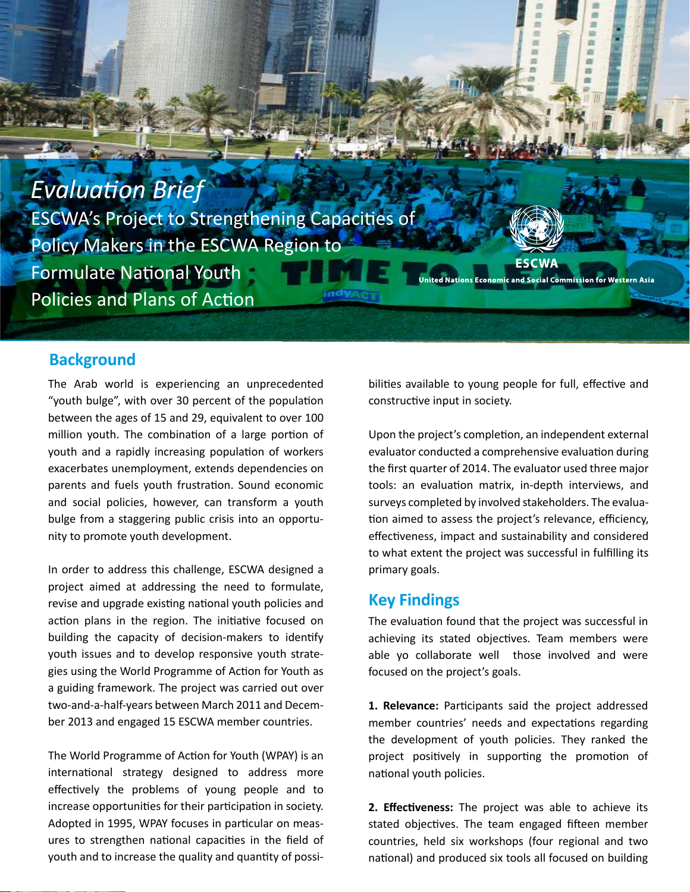

## **Background**

The Arab world is experiencing an unprecedented "youth bulge", with over 30 percent of the population between the ages of 15 and 29, equivalent to over 100 million youth. The combination of a large portion of youth and a rapidly increasing population of workers exacerbates unemployment, extends dependencies on parents and fuels youth frustration. Sound economic and social policies, however, can transform a youth bulge from a staggering public crisis into an opportunity to promote youth development.

In order to address this challenge, ESCWA designed a project aimed at addressing the need to formulate, revise and upgrade existing national youth policies and action plans in the region. The initiative focused on building the capacity of decision-makers to identify youth issues and to develop responsive youth strategies using the World Programme of Action for Youth as a guiding framework. The project was carried out over two-and-a-half-years between March 2011 and December 2013 and engaged 15 ESCWA member countries.

effectively the problems of young people and to The World Programme of Action for Youth (WPAY) is an international strategy designed to address more increase opportunities for their participation in society. Adopted in 1995, WPAY focuses in particular on measures to strengthen national capacities in the field of youth and to increase the quality and quantity of possibilities available to young people for full, effective and constructive input in society.

**ESCWA** 

Upon the project's completion, an independent external evaluator conducted a comprehensive evaluation during the first quarter of 2014. The evaluator used three major tools: an evaluation matrix, in-depth interviews, and surveys completed by involved stakeholders. The evalua tion aimed to assess the project's relevance, efficiency, effectiveness, impact and sustainability and considered to what extent the project was successful in fulfilling its primary goals.

## **Key Findings**

The evaluation found that the project was successful in achieving its stated objectives. Team members were able yo collaborate well those involved and were focused on the project's goals.

1. Relevance: Participants said the project addressed member countries' needs and expectations regarding the development of youth policies. They ranked the project positively in supporting the promotion of national youth policies.

**2. Effectiveness:** The project was able to achieve its stated objectives. The team engaged fifteen member countries, held six workshops (four regional and two national) and produced six tools all focused on building